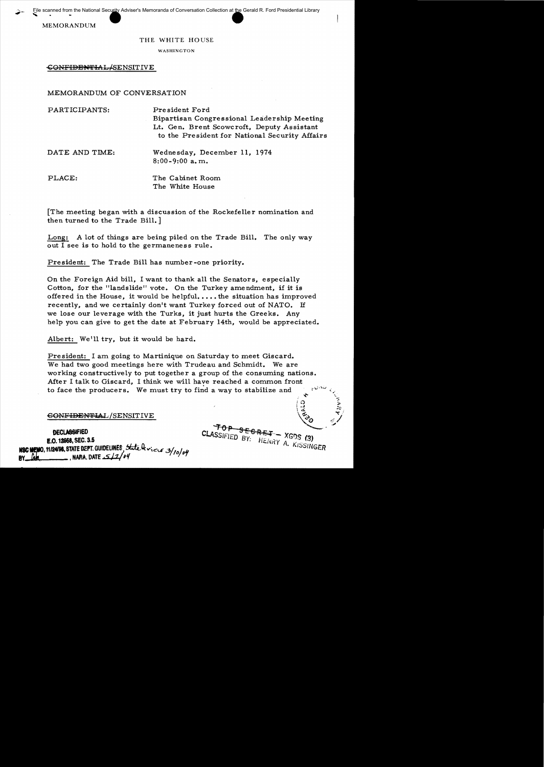scanned from the National Security Adviser<br>MEMORANDUM Eile scanned from the National Security Adviser's Memoranda of Conversation Collection at <u>the</u> Gerald R. Ford Presidential Library

## THE WHITE HOUSE

WASHINGTON

CONFIDENTIAL/SENSITIVE

MEMORANDUM OF CONVERSATION

| PARTICIPANTS:  | President Ford<br>Bipartisan Congressional Leadership Meeting<br>Lt. Gen. Brent Scowcroft, Deputy Assistant<br>to the President for National Security Affairs |
|----------------|---------------------------------------------------------------------------------------------------------------------------------------------------------------|
| DATE AND TIME: | Wednesday, December 11, 1974<br>$8:00-9:00$ a.m.                                                                                                              |
| PLACE:         | The Cabinet Room<br>The White House                                                                                                                           |

[The meeting began with a discussion of the Rockefeller nomination and then turned to the Trade Bill.]

Long: A lot of things are being piled on the Trade Bill. The only way out I see is to hold to the germaneness rule.

President: The Trade Bill has number-one priority.

On the Foreign Aid bill, I want to thank all the Senators, especially Cotton, for the "landslide" vote. On the Turkey amendment, if it is offered in the House, it would be helpful.... the situation has improved recently, and we certainly don't want Turkey forced out of NATO. If we lose our leverage with the Turks, it just hurts the Greeks. Any help you can give to get the date at February 14th, would be appreciated.

Albert: We'll try, but it would be hard.

President: I am going to Martinique on Saturday to meet Giscard. We had two good meetings here with Trudeau and Schmidt. We are working constructively to put together a group of the consuming nations. After I talk to Giscard, I think we will have reached a common front to face the producers. We must try to find a way to stabilize and  $\mathbf{v} = \mathbf{v}$ 

## $\epsilon$ ONF<del>IDENTI</del>AL/SENSITIVE

OECLAB8lFIeD **E.O. 12958, SEC. 3.5**<br>**NSC MEMO, 11124198, STATE ESPT. GUIDELINES**, State leviers 3/10/04<br>BY <u>Run (</u> NARA. DATE  $\frac{1}{2}/2$  o4

 $T$ OP SEGRET – XGDS (3) CLASSIFIED BY: HENRY A. KISSINGER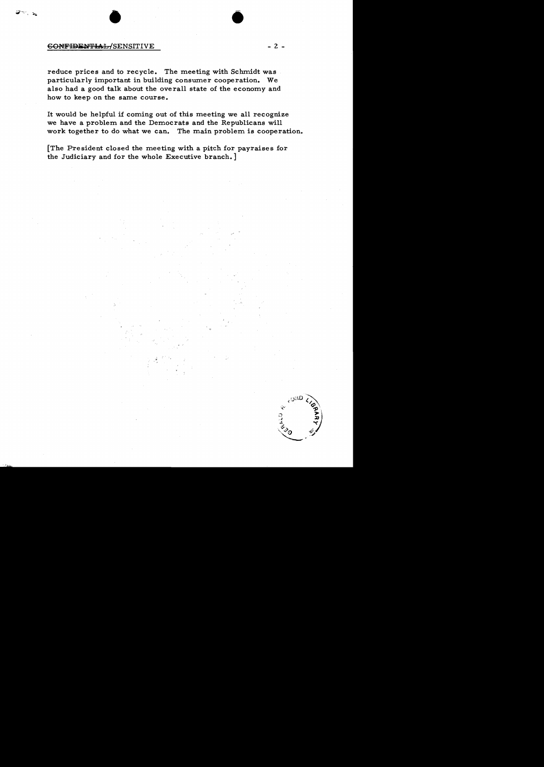## 60NFIDENTIAL/SENSITIVE - 2 -

reduce prices and to recycle. The meeting with Schmidt was particularly important in building consumer cooperation. We also had a good talk about the overall state of the economy and how to keep on the same course.

It would be helpful if coming out of this meeting we all recognize we have a problem and the Democrats and the Republicans will work together to do what we can. The main problem is cooperation.

• **•** 

[The President closed the meeting with a pitch for payraises for the Judiciary and for the whole Executive branch.]

്ദ്രാ